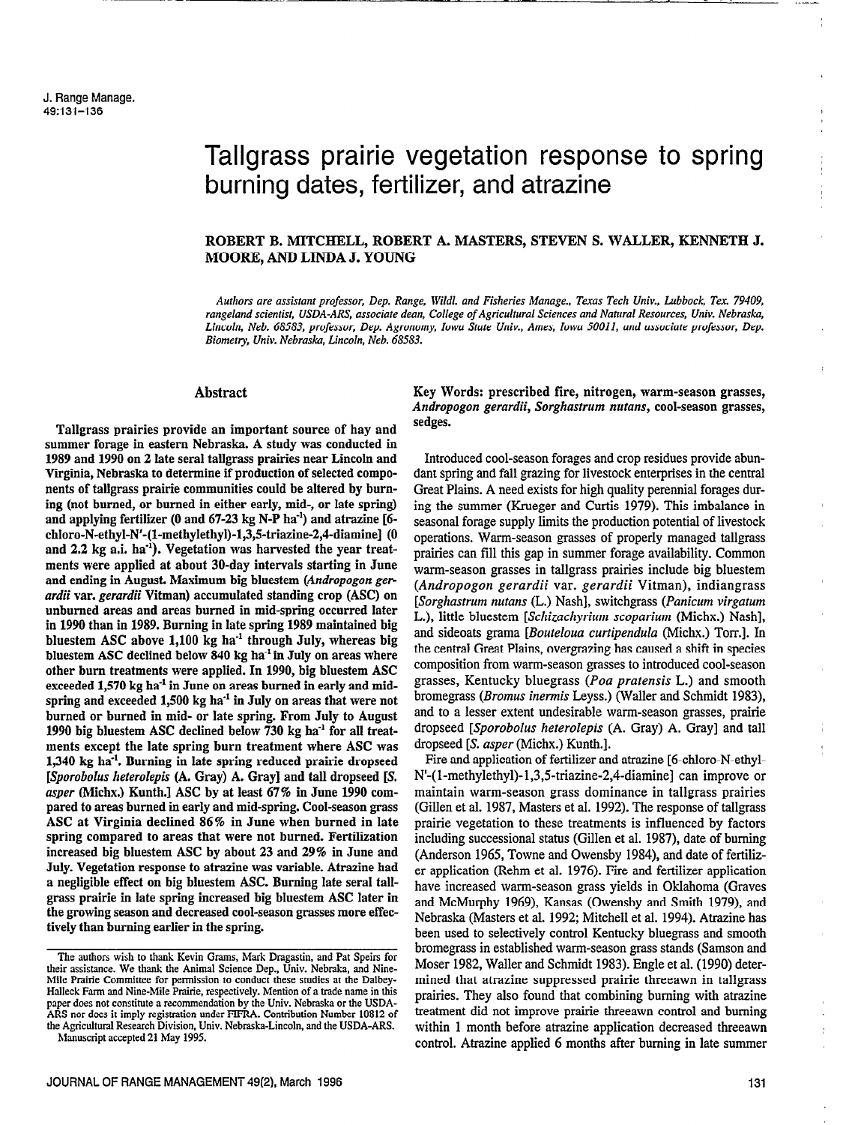# Tallgrass prairie vegetation response to spring burning dates, fertilizer, and atrazine

-\_ \_.--

## ROBERT B. MITCHELL, ROBERT A. MASTERS, STEVEN S. WALLER, KENNETH J. MOORE, AND LINDA J. YOUNG

Authors are assistant professor, Dep. Range, Wildl. and Fisheries Manage., Texas Tech Univ., Lubbock, Tex. 79409, rangeland scientist, USDA-ARS, associate dean, College of Agricultural Sciences and Natural Resources, Univ. Nebraska, Lincoln, Neb. 68583, professor, Dep. Agronomy, Iowa State Univ., Ames, Iowa 50011, and associate professor, Dep. Biometv, Univ. Nebraska, Lincoln, Neb. 68583.

## Abstract

Tallgrass prairies provide an important source of hay and summer forage in eastern Nebraska. A study was conducted in 1989 and 1990 on 2 late seral tallgrass prairies near Lincoln and Virginia, Nebraska to determine if production of selected components of tallgrass prairie communities could be altered by burning (not burned, or burned in either early, mid-, or late spring) and applying fertilizer (0 and  $67-23$  kg N-P ha<sup>-1</sup>) and atrazine [6chloro-N-ethyl-N'-(l-methylethyl)-1,3,5-triazine-2,4-diamine] (0 and 2.2 kg a.i. ha<sup>-1</sup>). Vegetation was harvested the year treatments were applied at about 30-day intervals starting in June and ending in August. Maximum big bluestem (Andropogon gerardii var. gerardii Vitman) accumulated standing crop (ASC) on unburned areas and areas burned in mid-spring occurred later in 1990 than in 1989. Burning in late spring 1989 maintained big bluestem ASC above  $1,100$  kg ha<sup>-1</sup> through July, whereas big bluestem ASC declined below 840 kg ha<sup>-1</sup> in July on areas where other bum treatments were applied. In 1990, big bluestem ASC exceeded 1,570 kg ha<sup>-1</sup> in June on areas burned in early and midspring and exceeded 1,500 kg ha<sup>-1</sup> in July on areas that were not burned or burned in mid- or late spring. From July to August 1990 big bluestem ASC declined below 730 kg ha $^{-1}$  for all treatments except the late spring burn treatment where ASC was 1,340 kg ha<sup>-1</sup>. Burning in late spring reduced prairie dropseed [Sporobolus heterolepis (A. Gray) A. Gray] and tall dropseed [S. asper (Michx.) Kunth.] ASC by at least 67% in June 1990 compared to areas burned in early and mid-spring. Cool-season grass ASC at Virginia declined 86% in June when burned in late spring compared to areas that were not burned. Fertilization increased big bluestem ASC by about 23 and 29% in June and July. Vegetation response to atraxine was variable. Atrazine had a negligible effect on big bluestem ASC. Burning late seral tallgrass prairie in late spring increased big bluestem ASC later in the growing season and decreased cool-season grasses more effectively than burning earlier in the spring.

The authors wish to thank Kevin Grams, Mark Dragastin, and Pat Speirs for their assistance. We thank the Animal Science Dep., Univ. Nebraka, and Nine-Mile Prairie Committee for permission to conduct these studies at the Dalbey-Halleck Farm and Nine-Mile Prairie, respectively. Mention of a trade name in this paper does not constitute a recommendation by the Univ. Nebraska or the USDA-ARS nor does it imply registration under FIFRA. Contribution Number 10812 of the Agricultural Research Division, Univ. Nebraska-Lincoln, and the USDA-ARS. Manuscript accepted 21 May 1995.

Key Words: prescribed fire, nitrogen, warm-season grasses, Andropogon gerardii, Sorghastrum nutans, cool-season grasses, sedges.

Introduced cool-season forages and crop residues provide abundant spring and fall grazing for livestock enterprises in the central Great Plains. A need exists for high quality perennial forages during the summer (Krueger and Curtis 1979). This imbalance in seasonal forage supply limits the production potential of livestock operations. Warm-season grasses of properly managed tallgrass prairies can fill this gap in summer forage availability. Common warm-season grasses in tallgrass prairies include big bluestem (Andropogon gerardii var. gerardii Vitman), indiangrass [Sorghastrum nutans (L.) Nash], switchgrass (Panicum virgatum L.), little bluestem [Schizachyrium scoparium (Michx.) Nash], and sideoats grama [Bouteloua curtipendula (Michx.) Torr.]. In the central Great Plains, overgrazing has caused a shift in species composition from warm-season grasses to introduced cool-season grasses, Kentucky bluegrass (Poa pratensis L.) and smooth bromegrass (Bromus inermis Leyss.) (Wailer and Schmidt 1983), and to a lesser extent undesirable warm-season grasses, prairie dropseed [Sporobolus heterolepis (A. Gray) A. Gray] and tall dropseed [S. usper (Michx.) Kunth.].

Fire and application of fertilizer and atrazine [6-chloro-N-ethyl-N'-(1-methylethyl)-1,3,5-triazine-2,4-diamine] can improve or maintain warm-season grass dominance in tallgrass prairies (Gillen et al. 1987, Masters et al. 1992). The response of tallgrass prairie vegetation to these treatments is influenced by factors including successional status (Gillen et al. 1987), date of burning (Anderson 1965, Towne and Owensby 1984), and date of fertilizer application (Rehm et al. 1976). Fire and fertilizer application have increased warm-season grass yields in Oklahoma (Graves and McMurphy 1969), Kansas (Owensby and Smith 1979), and Nebraska (Masters et al. 1992; Mitchell et al. 1994). Atrazine has been used to selectively control Kentucky bluegrass and smooth bromegrass in established warm-season grass stands (Samson aad Moser 1982, Waller and Schmidt 1983). Engle et al. (1990) determined that atrazine suppressed prairie threeawn in tallgrass prairies. They also found that combining burning with atrazine treatment did not improve prairie threeawn control and burning within 1 month before atrazine application decreased threeawn control. Atrazine applied 6 months after burning in late summer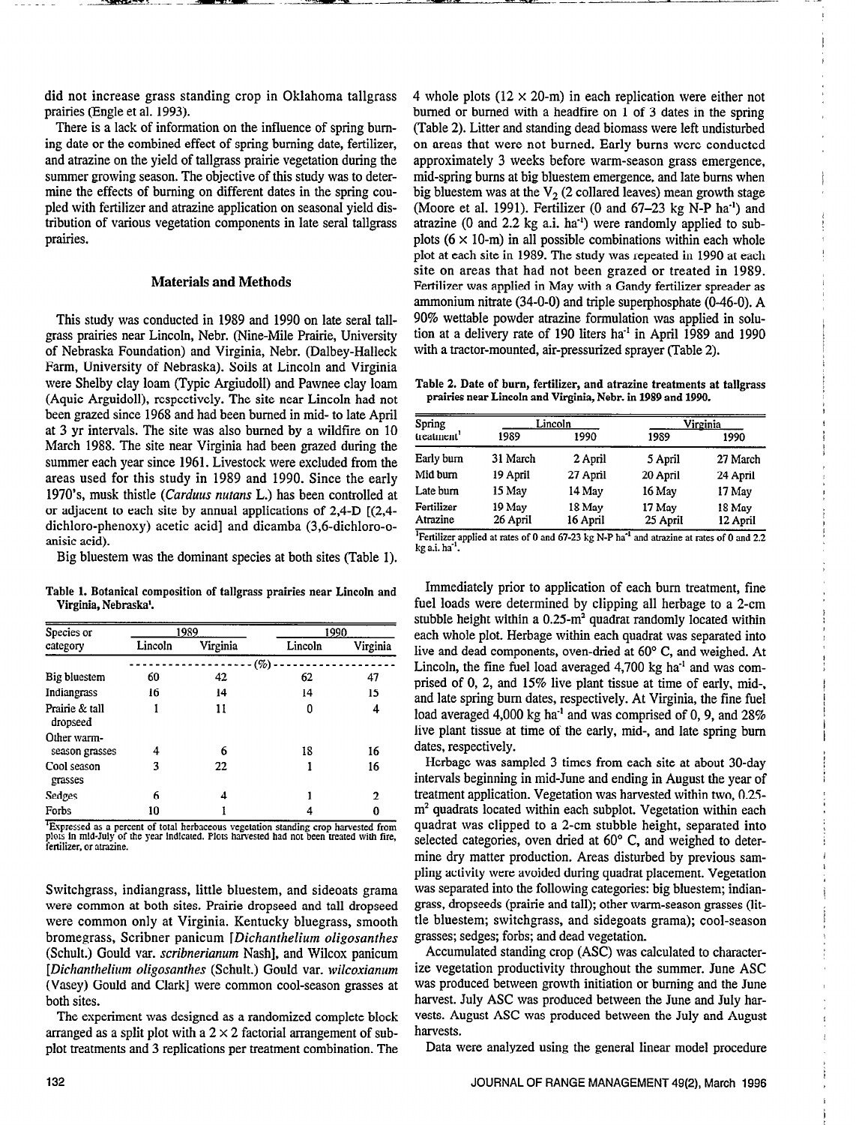did not increase grass standing crop in Oklahoma tallgrass prairies (Engle et al. 1993).

There is a lack of information on the influence of spring buming date or the combined effect of spring burning date, fertilizer, and atrazine on the yield of tallgrass prairie vegetation during the summer growing season. The objective of this study was to determine the effects of burning on different dates in the spring coupled with fertilizer and atrazine application on seasonal yield distribution of various vegetation components in late seral tallgrass prairies.

## Materials and Methods

This study was conducted in 1989 and 1990 on late seral tallgrass prairies near Lincoln, Nebr. (Nine-Mile Prairie, University of Nebraska Foundation) and Virginia, Nebr. (Dalbey-Halleck Farm, University of Nebraska). Soils at Lincoln and Virginia were Shelby clay loam (Typic Argiudoll) and Pawnee clay loam (Aquic Arguidoll), respectively. The site near Lincoln had not been grazed since 1968 and had been burned in mid- to late April at 3 yr intervals. The site was also burned by a wildfire on 10 March 1988. The site near Virginia had been grazed during the summer each year since 1961. Livestock were excluded from the areas used for this study in 1989 and 1990. Since the early 1970's, musk thistle (Carduus nurans L.) has been controlled at or adjacent to each site by annual applications of 2,4-D [(2,4 dichloro-phenoxy) acetic acid] and dicamba (3,6-dichloro-oanisic acid).

Big bluestem was the dominant species at both sites (Table 1).

Table 1. Botanical composition of tallgrass prairies near Lincoln and Virginia, Nebraska'.

| Species or<br>category        | 1989    |          | 1990    |             |
|-------------------------------|---------|----------|---------|-------------|
|                               | Lincoln | Virginia | Lincoln | Virginia    |
|                               |         |          | (%      |             |
| Big bluestem                  | 60      | 42       | 62      | 47          |
| Indiangrass                   | 16      | 14       | 14      | 15          |
| Prairie & tall<br>dropseed    |         | 11       | 0       | 4           |
| Other warm-<br>season grasses | 4       | 6        | 18      | 16          |
| Cool season<br>grasses        | 3       | 22       |         | 16          |
| Sedges                        | 6       | 4        |         | $\mathbf 2$ |
| Forbs                         | 10      |          |         | 0           |

<sup>1</sup>Expressed as a percent of total herbaceous vegetation standing crop harvested from plots in mid-July of the year indicated. Plots harvested had not been treated with fire, the literation

Switchgrass, indiangrass, little bluestem, and sideoats grama were common at both sites. Prairie dropseed and tall dropseed were common only at Virginia. Kentucky bluegrass, smooth bromegrass, Scribner panicum [Dichanthelium oligosanthes (Schult.) Gould var. scribnerianum Nash], and Wilcox panicum [Dichanthelium oligosanthes (Schult.) Gould var. wilcoxianum (Vasey) Gould and Clark] were common cool-season grasses at both sites.

The experiment was designed as a randomized complete block arranged as a split plot with a  $2 \times 2$  factorial arrangement of subplot treatments and 3 replications per treatment combination. The 4 whole plots  $(12 \times 20$ -m) in each replication were either not burned or burned with a headfire on 1 of 3 dates in the spring (Table 2). Litter and standing dead biomass were left undisturbed on areas that were not burned. Early burns were conducted approximately 3 weeks before warm-season grass emergence, mid-spring bums at big bluestem emergence, and late bums when big bluestem was at the  $V_2$  (2 collared leaves) mean growth stage (Moore et al. 1991). Fertilizer (0 and 67-23 kg N-P ha<sup>-1</sup>) and atrazine  $(0 \text{ and } 2.2 \text{ kg a.i.} \text{ ha}^{-1})$  were randomly applied to subplots  $(6 \times 10$ -m) in all possible combinations within each whole plot at each site in 1989. The study was repeated in 1990 at each site on areas that had not been grazed or treated in 1989. Fertilizer was applied in May with a Gandy fertilizer spreader as ammonium nitrate (34-O-O) and triple superphosphate (0-46-O). A 90% wettable powder atrazine formulation was applied in solution at a delivery rate of 190 liters ha-' in April 1989 and 1990 with a tractor-mounted, air-pressurized sprayer (Table 2).

Table 2. Date of burn, fertilizer, and atrazine treatments at tallgrass prairies near Lincoln and Virginia, Nebr. in 1989 and 1990.

| Spring                 | Lincoln            |                    | <u>Virginia</u>    |                    |
|------------------------|--------------------|--------------------|--------------------|--------------------|
| treatment <sup>1</sup> | 1989               | 1990               | 1989               | 1990               |
| Early burn             | 31 March           | 2 April            | 5 April            | 27 March           |
| Mid burn               | 19 April           | 27 April           | 20 April           | 24 April           |
| Late burn              | 15 May             | 14 May             | 16 May             | 17 May             |
| Fertilizer<br>Atrazine | 19 May<br>26 April | 18 May<br>16 April | 17 May<br>25 April | 18 May<br>12 April |

<sup>1</sup> Fertilizer applied at rates of 0 and 67-23 kg N-P ha<sup>-1</sup> and atrazine at rates of 0 and 2.2  $kg$  a.i. ha $<sup>1</sup>$ .</sup>

Immediately prior to application of each bum treatment, fine fuel loads were determined by clipping all herbage to a 2-cm stubble height within a  $0.25 \text{m}^2$  quadrat randomly located within each whole plot. Herbage within each quadrat was separated into live and dead components, oven-dried at 60° C, and weighed. At Lincoln, the fine fuel load averaged  $4,700$  kg ha<sup>-1</sup> and was comprised of 0, 2, and 15% live plant tissue at time of early, mid-, and late spring bum dates, respectively. At Virginia, the fine fuel load averaged 4,000 kg ha<sup>-1</sup> and was comprised of 0, 9, and  $28\%$ live plant tissue at time of the early, mid-, and late spring bum dates, respectively.

Herbage was sampled 3 times from each site at about 30-day intervals beginning in mid-June and ending in August the year of treatment application. Vegetation was harvested within two, 0.25  $m<sup>2</sup>$  quadrats located within each subplot. Vegetation within each quadrat was clipped to a 2-cm stubble height, separated into selected categories, oven dried at 60° C, and weighed to determine dry matter production. Areas disturbed by previous sampling activity were avoided during quadrat placement. Vegetation was separated into the following categories: big bluestem; indiangrass, dropseeds (prairie and tall); other warm-season grasses (little bluestem; switchgrass, and sidegoats grama); cool-season grasses; sedges; forbs; and dead vegetation.

Accumulated standing crop (ASC) was calculated to characterize vegetation productivity throughout the summer. June ASC was produced between growth initiation or burning and the June harvest. July ASC was produced between the June and July harvests. August ASC was produced between the July and August harvests.

Data were analyzed using the general linear model procedure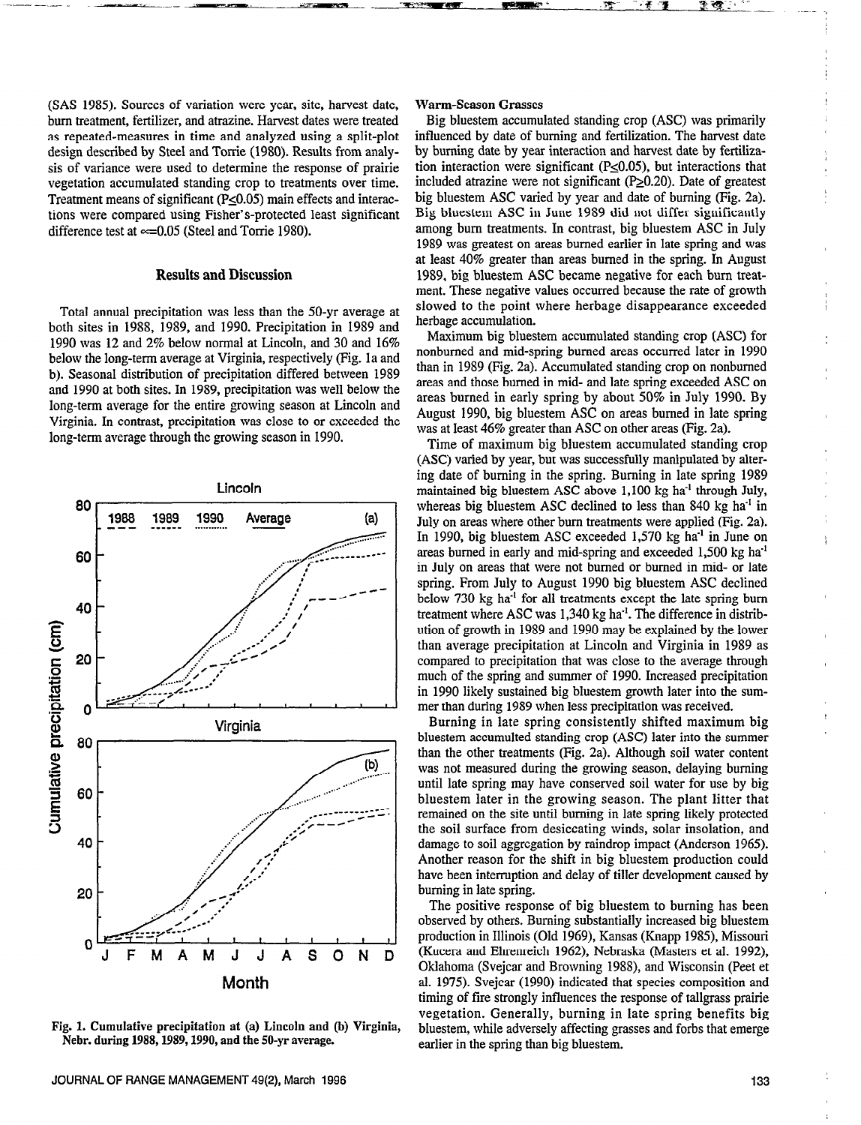(SAS 1985). Sources of variation were year, site, harvest date, bum treatment, fertilizer, and atrazine. Harvest dates were treated as repeated-measures in time and analyzed using a split-plot design described by Steel and Torrie (1980). Results from analysis of variance were used to determine the response of prairie vegetation accumulated standing crop to treatments over time. Treatment means of significant (P<0.05) main effects and interactions were compared using Fisher's-protected least significant difference test at  $\approx$  =0.05 (Steel and Torrie 1980).

## Results and Discussion

Total annual precipitation was less than the 50-yr average at both sites in 1988, 1989, and 1990. Precipitation in 1989 and 1990 was 12 and 2% below normal at Lincoln, and 30 and 16% below the long-term average at Virginia, respectively (Fig. la and b). Seasonal distribution of precipitation differed between 1989 and 1990 at both sites. In 1989, precipitation was well below the long-term average for the entire growing season at Lincoln and Virginia. In contrast, precipitation was close to or exceeded the long-term average through the growing season in 1990.



Fig. 1. Cumulative precipitation at (a) Lincoln and (b) Virginia, Nebr. during 1988,1989,1990, and the SO-yr average.

#### Warm-Season Grasses

Big bluestem accumulated standing crop (ASC) was primarily influenced by date of burning and fertilization. The harvest date by burning date by year interaction and harvest date by fertilization interaction were significant (P<0.05), but interactions that included atrazine were not significant  $(P_2 0.20)$ . Date of greatest big bluestem ASC varied by year and date of burning (Fig. 2a). Big bluestem ASC in June 1989 did not differ significantly among bum treatments. In contrast, big bluestem ASC in July 1989 was greatest on areas burned earlier in late spring and was at least 40% greater than areas burned in the spring. In August 1989, big bluestem ASC became negative for each bum treatment. These negative values occurred because the rate of growth slowed to the point where herbage disappearance exceeded herbage accumulation.

Maximum big bluestem accumulated standing crop (ASC) for nonbumed and mid-spring burned areas occurred later in 1990 than in 1989 (Fig. 2a). Accumulated standing crop on nonbumed areas and those burned in mid- and late spring exceeded ASC on areas burned in early spring by about 50% in July 1990. By August 1990, big bluestem ASC on areas burned in late spring was at least 46% greater than ASC on other areas (Fig. 2a).

Time of maximum big bluestem accumulated standing crop (ASC) varied by year, but was successfully manipulated by altering date of burning in the spring. Burning in late spring 1989 maintained big bluestem ASC above  $1,100$  kg ha<sup>-1</sup> through July, whereas big bluestem ASC declined to less than 840 kg ha<sup>-1</sup> in July on areas where other bum treatments were applied (Fig. 2a). In 1990, big bluestem ASC exceeded 1,570 kg ha<sup>-1</sup> in June on areas burned in early and mid-spring and exceeded 1,500 kg ha-' in July on areas that were not burned or burned in mid- or late spring. From July to August 1990 big bluestem ASC declined below 730 kg ha<sup>-1</sup> for all treatments except the late spring burn treatment where ASC was 1,340 kg ha<sup>-1</sup>. The difference in distribution of growth in 1989 and 1990 may be explained by the lower than average precipitation at Lincoln and Virginia in 1989 as compared to precipitation that was close to the average through much of the spring and summer of 1990. Increased precipitation in 1990 likely sustained big bluestem growth later into the summer than during 1989 when less precipitation was received.

Burning in late spring consistently shifted maximum big bluestem accumulted standing crop (ASC) later into the summer than the other treatments (Fig. 2a). Although soil water content was not measured during the growing season, delaying burning until late spring may have conserved soil water for use by big bluestem later in the growing season. The plant litter that remained on the site until burning in late spring likely protected the soil surface from desiccating winds, solar insolation, and damage to soil aggregation by raindrop impact (Anderson 1965). Another reason for the shift in big bluestem production could have been interruption and delay of tiller development caused by burning in late spring.

The positive response of big bluestem to burning has been observed by others. Burning substantially increased big bluestem production in Illinois (Old 1969), Kansas (Knapp 1985), Missouri (Kucera and Ehrenreich 1962), Nebraska (Masters et al. 1992), Oklahoma (Svejcar and Browning 19SS), and Wisconsin (Peet et al. 1975). Svejcar (1990) indicated that species composition and timing of fire strongly influences the response of tallgrass prairie vegetation. Generally, burning in late spring benefits big bluestem, while adversely affecting grasses and forbs that emerge earlier in the spring than big bluestem.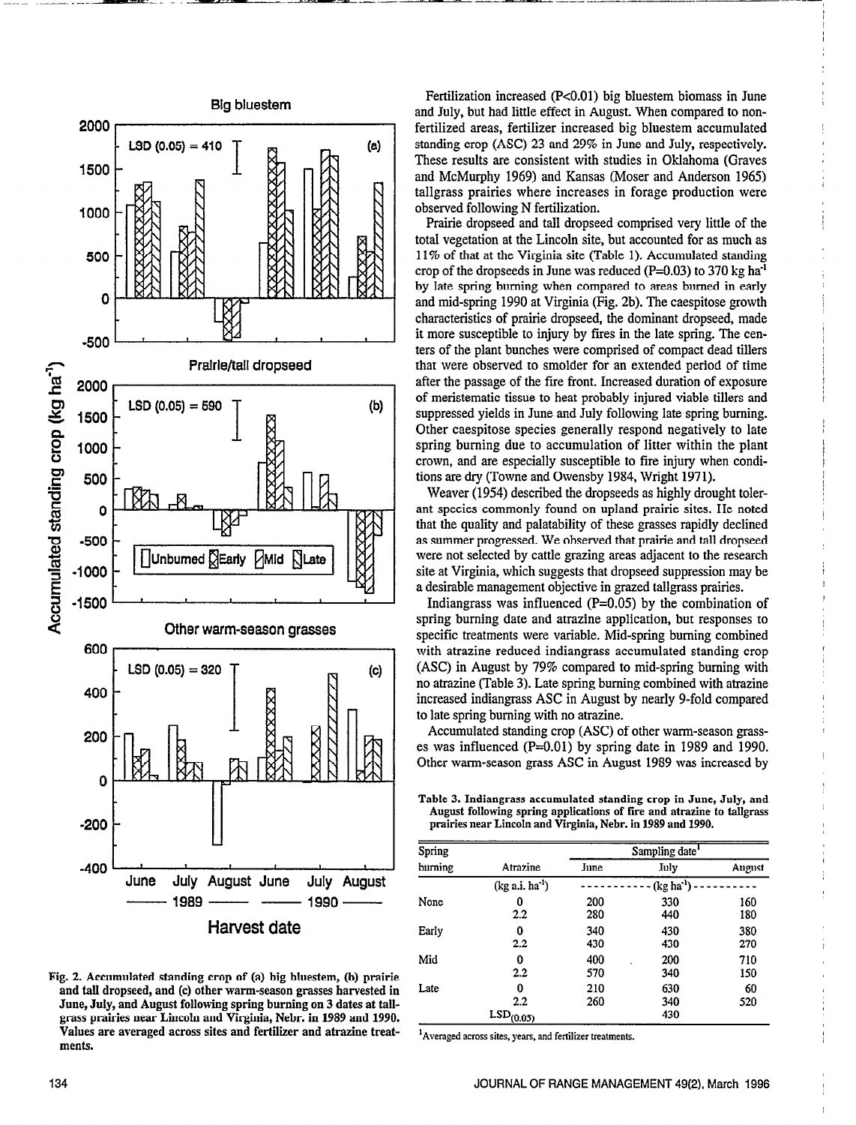

Fig. 2. Accumulated standing crop of (a) big bluestem, (b) prairie  $g$ . 2. Accumulated stamming crup or (a) ing binestem, (b) prairie June, July, and August following spring burning on 3 dates at tail-June, July, and August following spring burning on 3 dates at tall-grass prairies near Lincoln and Virginia, Nebr. in 1989 and 1990. Values are averaged across sites and fertilizer and atrazine treatvalues

Fertilization increased (P<0.01) big bluestem biomass in June and July, but had little effect in August. When compared to nonfertilized areas, fertilizer increased big bluestem accumulated standing crop (ASC) 23 and 29% in June and July, respectively. These results are consistent with studies in Oklahoma (Graves and McMurphy 1969) and Kansas (Moser and Anderson 1965) tallgrass prairies where increases in forage production were observed following N fertilization.

Prairie dropseed and tall dropseed comprised very little of the total vegetation at the Lincoln site, but accounted for as much as 11% of that at the Virginia site (Table 1). Accumulated standing crop of the dropseeds in June was reduced ( $P=0.03$ ) to 370 kg ha<sup>-1</sup> by late spring burning when compared to areas burned in early and mid-spring 1990 at Virginia (Fig. 2b). The caespitose growth characteristics of prairie dropseed, the dominant dropseed, made it more susceptible to injury by fires in the late spring. The centers of the plant bunches were comprised of compact dead tillers that were observed to smolder for an extended period of time after the passage of the fire front. Increased duration of exposure of meristematic tissue to heat probably injured viable tillers and suppressed yields in June and July following late spring burning. Other caespitose species generally respond negatively to late spring burning due to accumulation of litter within the plant crown, and are especially susceptible to fire injury when conditions are dry (Towne and Owensby 1984, Wright 1971).

Weaver (1954) described the dropseeds as highly drought tolerant species commonly found on upland prairie sites. He noted that the quality and palatability of these grasses rapidly declined as summer progressed. We observed that prairie and tall dropseed were not selected by cattle grazing areas adjacent to the research site at Virginia, which suggests that dropseed suppression may be a desirable management objective in grazed tallgrass prairies.

Indiangrass was influenced (P=O.O5) by the combination of spring burning date and atrazine application, but responses to specific treatments were variable. Mid-spring burning combined with atrazine reduced indiangrass accumulated standing crop (ASC) in August by 79% compared to mid-spring burning with no atrazine (Table 3). Late spring burning combined with atrazine increased indiangrass ASC in August by nearly 9-fold compared to late spring burning with no atrazine.

Accumulated standing crop (ASC) of other warm-season grasses was influenced  $(P=0.01)$  by spring date in 1989 and 1990. Other warm-season grass ASC in August 1989 was increased by

Table 3. Indiangrass accumulated standing crop in June, July, and August following spring applications of fire and atrazine to tallgrass prairies near Lincoln and Virginia, Nebr. in 1989 and 1990.

| Spring  |                                                | Sampling date |                   |            |  |
|---------|------------------------------------------------|---------------|-------------------|------------|--|
| burning | Atrazine                                       | June          | July              | August     |  |
|         | $(kg a.i. ha-1)$                               | $(kg ha-1)$   |                   |            |  |
| None    | 0<br>2.2                                       | 200<br>280    | 330<br>440        | 160<br>180 |  |
| Early   | 0<br>2.2                                       | 340<br>430    | 430<br>430        | 380<br>270 |  |
| Mid     | 0<br>$2.2\,$                                   | 400<br>570    | 200<br>340        | 710<br>150 |  |
| Late    | 0<br>$2.2\phantom{0}$<br>LSD <sub>(0.05)</sub> | 210<br>260    | 630<br>340<br>430 | 60<br>520  |  |

<sup>1</sup> Averaged across sites, years, and fertilizer treatments.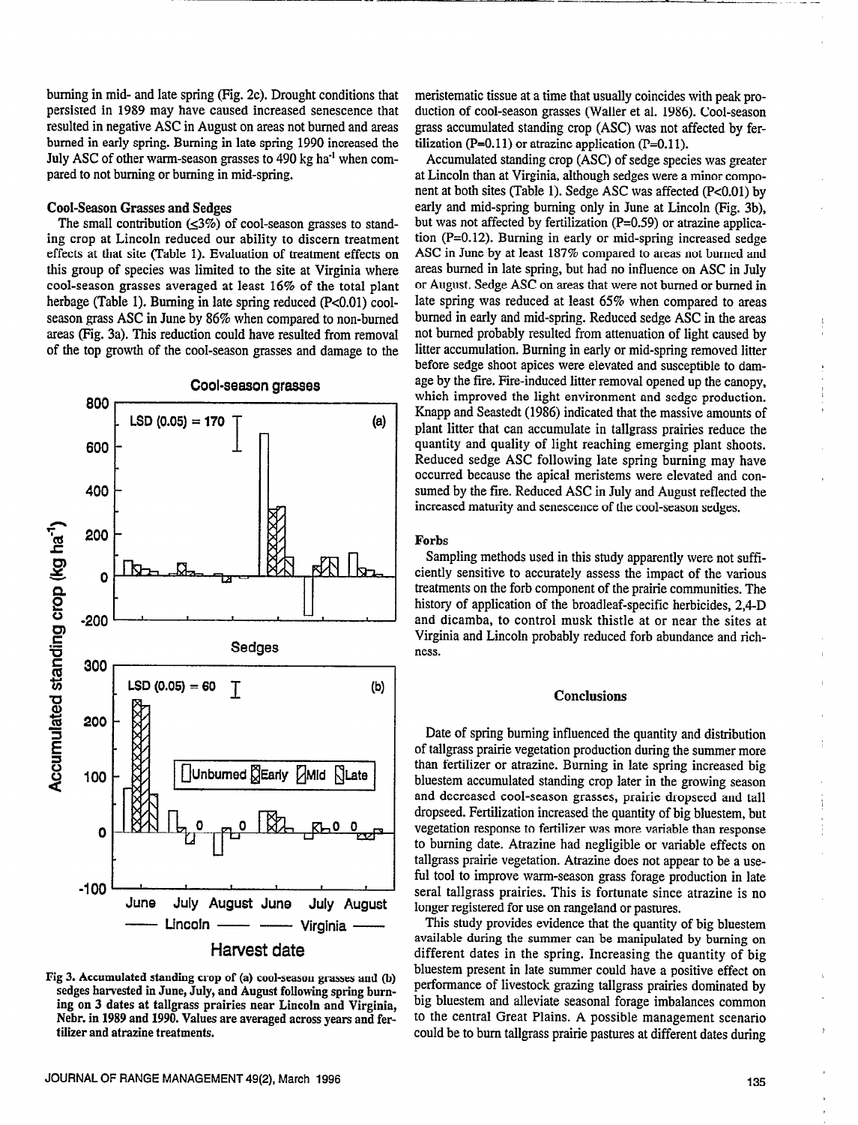burning in mid- and late spring (Fig. 2c). Drought conditions that persisted in 1989 may have caused increased senescence that resulted in negative ASC in August on areas not burned and areas burned in early spring. Burning in late spring 1990 increased the July ASC of other warm-season grasses to 490 kg ha<sup>-1</sup> when compared to not burning or burning in mid-spring.

## Cool-Season Grasses and Sedges

The small contribution  $(1,3\%)$  of cool-season grasses to standing crop at Lincoln reduced our ability to discern treatment effects at that site (Table 1). Evaluation of treatment effects on this group of species was limited to the site at Virginia where cool-season grasses averaged at least 16% of the total plant herbage (Table 1). Burning in late spring reduced (P<0.01) coolseason grass ASC in June by 86% when compared to non-burned areas Fig. 3a). This reduction could have resulted from removal of the top growth of the cool-season grasses and damage to the



Fig 3. Accumulated standing crop of (a) cool-season grasses and (b) sedges harvested in June, July, and August following spring hurning on 3 dates at tallgrass prairies near Lincoln and Virginia, Nehr. in 1989 and 1990. Values are averaged across years and fertilizer and atrazine treatments.

meristematic tissue at a time that usually coincides with peak production of cool-season grasses (Wailer et al. 1986). Cool-season grass accumulated standing crop (ASC) was not affected by fertilization (P=0.11) or atrazine application (P=0.11).

Accumulated standing crop (ASC) of sedge species was greater at Lincoln than at Virginia, although sedges were a minor component at both sites (Table 1). Sedge ASC was affected (P<0.01) by early and mid-spring burning only in June at Lincoln (Fig. 3b), but was not affected by fertilization (P=0.59) or atrazine application (P=O.12). Burning in early or mid-spring increased sedge ASC in June by at least 187% compared to areas not burned and areas burned in late spring, but had no influence on ASC in July or August. Sedge ASC on areas that were not burned or burned in late spring was reduced at least 65% when compared to areas burned in early and mid-spring. Reduced sedge ASC in the areas not burned probably resulted from attenuation of light caused by litter accumulation. Burning in early or mid-spring removed litter before sedge shoot apices were elevated and susceptible to damage by the fire. Fire-induced litter removal opened up the canopy, which improved the light environment and sedge production. Knapp and Seastedt (1986) indicated that the massive amounts of plant litter that can accumulate in tallgrass prairies reduce the quantity and quality of light reaching emerging plant shoots. Reduced sedge ASC following late spring burning may have occurred because the apical meristems were elevated and consumed by the fire. Reduced ASC in July and August reflected the increased maturity and senescence of the cool-season sedges.

#### Forbs

 $~\cdot$  . In the set of the set of the set of the set of the set of the set of the set of the set of the set of the set of the set of the set of the set of the set of the set of the set of the set of the set of the set of t

Sampling methods used in this study apparently were not sufficiently sensitive to accurately assess the impact of the various treatments on the forb component of the prairie communities. The history of application of the broadleaf-specific herbicides, 2,4-D and dicamba, to control musk thistle at or near the sites at Virginia and Lincoln probably reduced forb abundance and richness.

## Conclusions

Date of spring burning influenced the quantity and distribution of tallgrass prairie vegetation production during the summer more than fertilizer or atrazine. Burning in late spring increased big bluestem accumulated standing crop later in the growing season and decreased cool-season grasses, prairie dropseed and tall dropseed. Fertilization increased the quantity of big bluestem, but vegetation response to fertilizer was more variable than response to burning date. Atrazine had negligible or variable effects on tallgrass prairie vegetation. Atrazine does not appear to be a useful tool to improve warm-season grass forage production in late seral tallgrass prairies. This is fortunate since atrazine is no longer registered for use on rangeland or pastures.

This study provides evidence that the quantity of big bluestem available during the summer can be manipulated by burning on different dates in the spring. Increasing the quantity of big bluestem present in late summer could have a positive effect on performance of livestock grazing tallgrass prairies dominated by big bluestem and alleviate seasonal forage imbalances common to the central Great Plains. A possible management scenario could be to burn tallgrass prairie pastures at different dates during